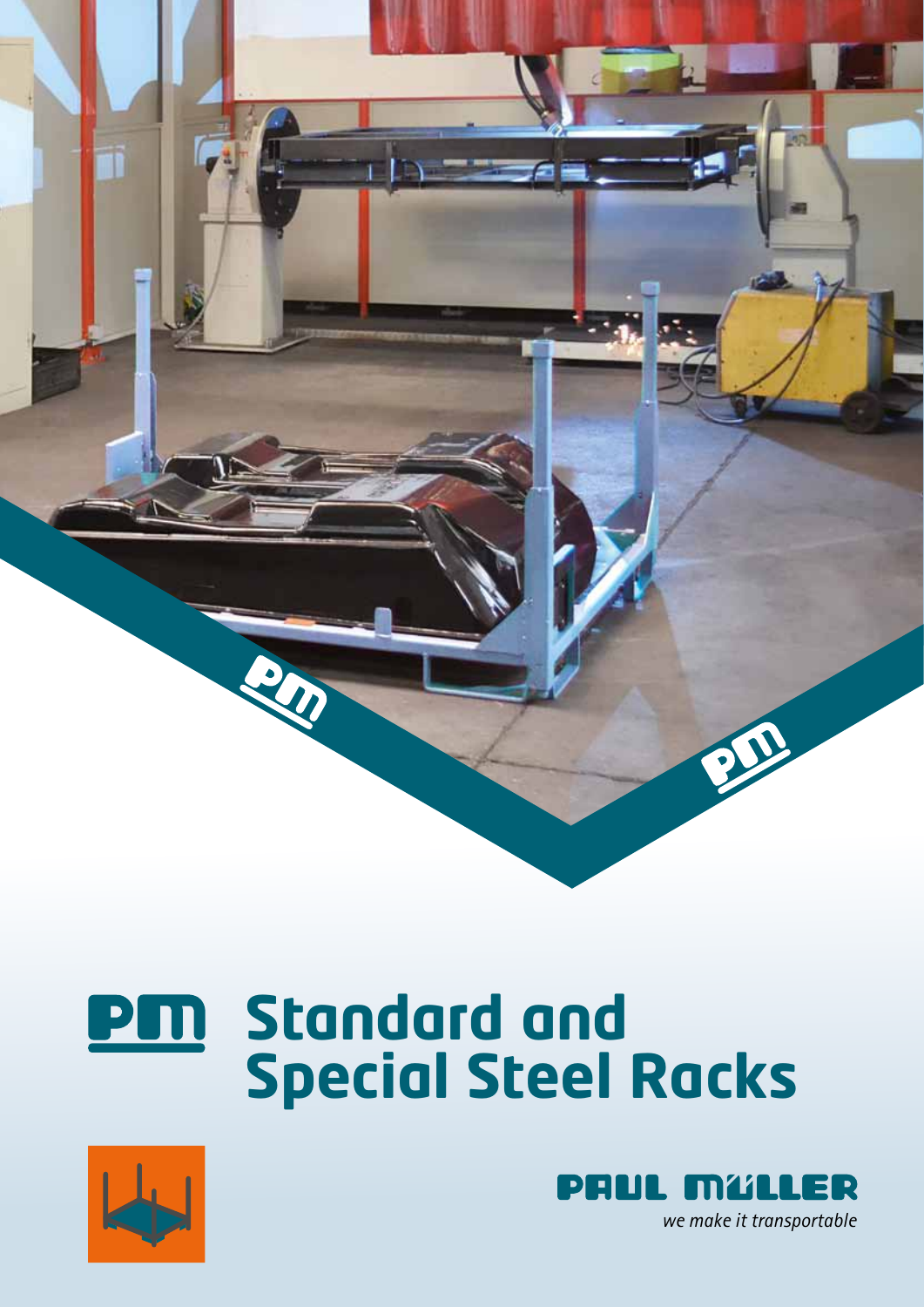

## **Standard and**  PM **Special Steel Racks**



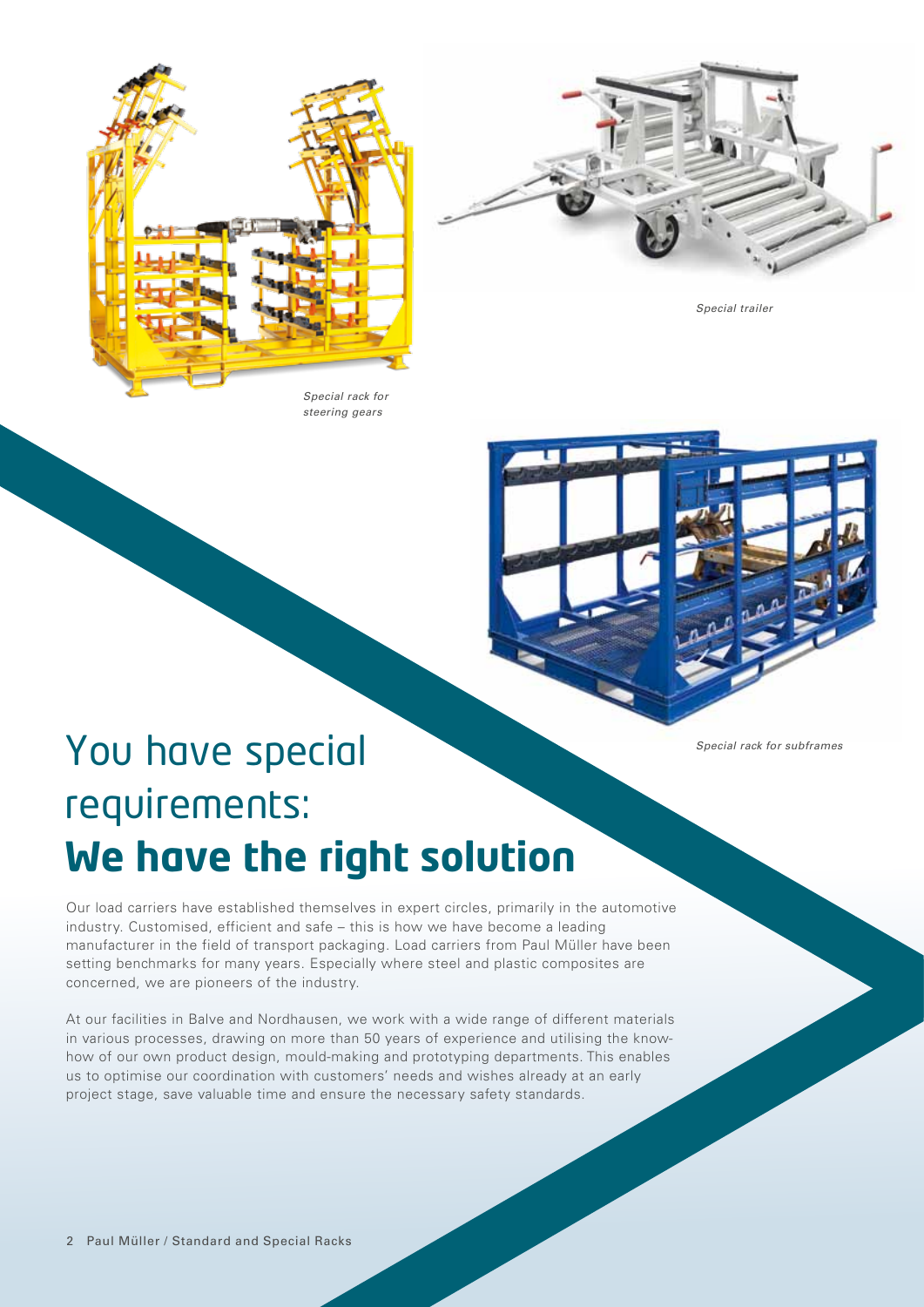





*Special trailer*



# You have special requirements: **We have the right solution**

*Special rack for subframes*

Our load carriers have established themselves in expert circles, primarily in the automotive industry. Customised, efficient and safe – this is how we have become a leading manufacturer in the field of transport packaging. Load carriers from Paul Müller have been setting benchmarks for many years. Especially where steel and plastic composites are concerned, we are pioneers of the industry.

At our facilities in Balve and Nordhausen, we work with a wide range of different materials in various processes, drawing on more than 50 years of experience and utilising the knowhow of our own product design, mould-making and prototyping departments. This enables us to optimise our coordination with customers' needs and wishes already at an early project stage, save valuable time and ensure the necessary safety standards.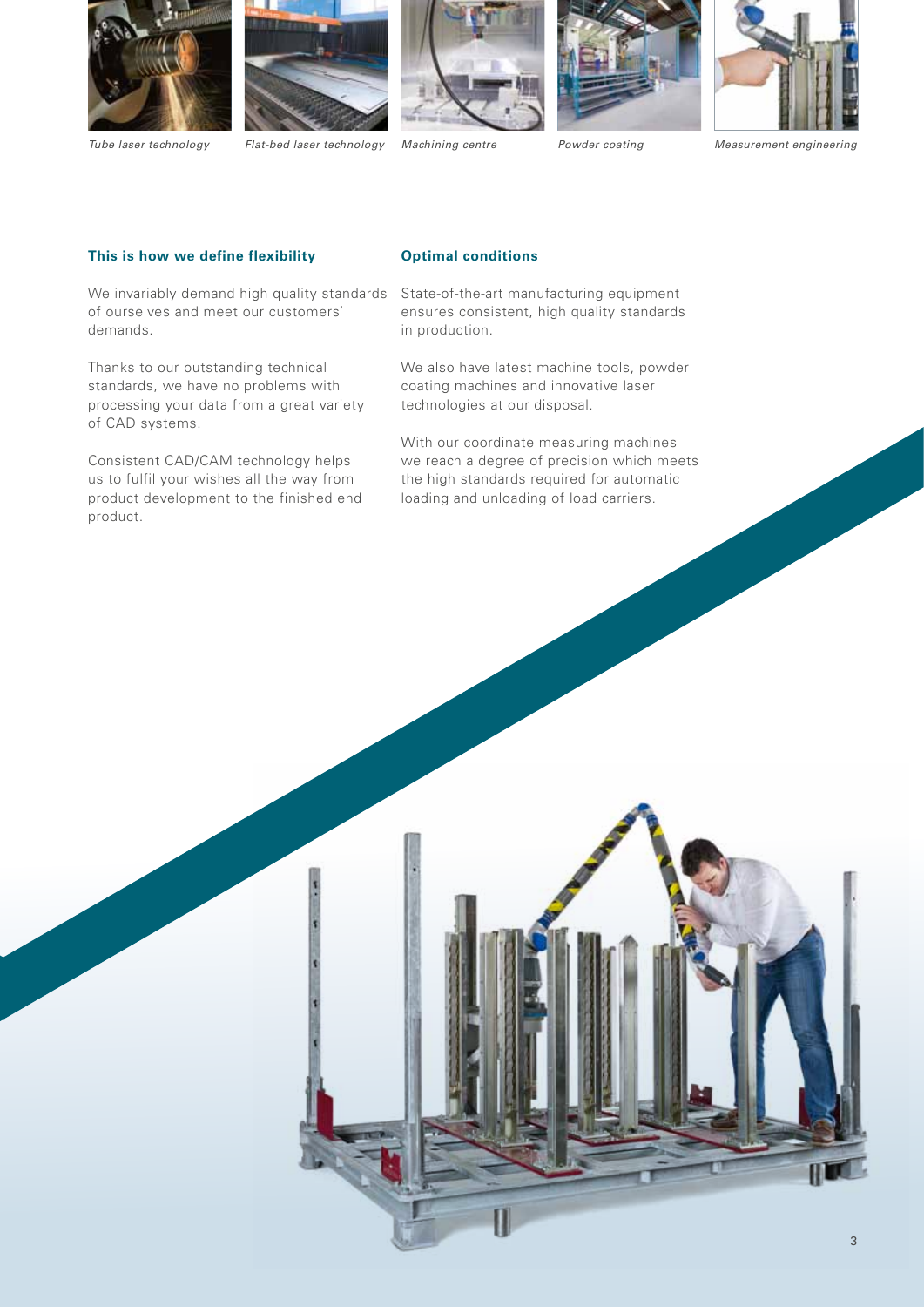









*Tube laser technology Flat-bed laser technology Powder coating Measurement engineering*

#### **This is how we define flexibility**

We invariably demand high quality standards State-of-the-art manufacturing equipment of ourselves and meet our customers' demands.

Thanks to our outstanding technical standards, we have no problems with processing your data from a great variety of CAD systems.

Consistent CAD/CAM technology helps us to fulfil your wishes all the way from product development to the finished end product.

### **Optimal conditions**

ensures consistent, high quality standards in production.

We also have latest machine tools, powder coating machines and innovative laser technologies at our disposal.

With our coordinate measuring machines we reach a degree of precision which meets the high standards required for automatic loading and unloading of load carriers.